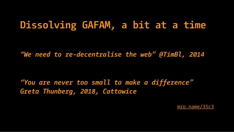# **Dissolving GAFAM, a bit at a time**

*"We need to re-decentralise the web" @TimBl, 2014*

*"You are never too small to make a difference" Greta Thunberg, 2018, Cattowice*

 [mro. name/35c3](http://mro.name/35c3)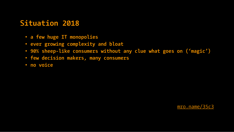## **Situation 2018**

- **a few huge IT monopolies**
- **ever growing complexity and bloat**
- **90% sheep-like consumers without any clue what goes on ('magic')**
- **few decision makers, many consumers**
- **no voice**

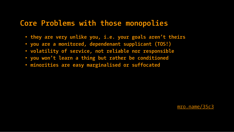#### **Core Problems with those monopolies**

- **they are very unlike you, i.e. your goals aren't theirs**
- **you are a monitored, dependenant supplicant (TOS!)**
- **volatility of service, not reliable nor responsible**
- **you won't learn a thing but rather be conditioned**
- **minorities are easy marginalised or suffocated**

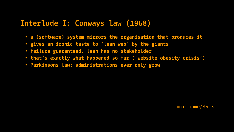## **Interlude I: Conways law (1968)**

- **a (software) system mirrors the organisation that produces it**
- **gives an ironic taste to 'lean web' by the giants**
- **failure guaranteed, lean has no stakeholder**
- **that's exactly what happened so far ('Website obesity crisis')**
- **Parkinsons law: administrations ever only grow**

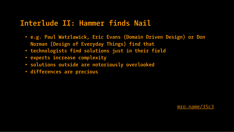## **Interlude II: Hammer finds Nail**

- **e.g. Paul Watzlawick, Eric Evans (Domain Driven Design) or Don Norman (Design of Everyday Things) find that**
- **technologists find solutions just in their field**
- **experts increase complexity**
- **solutions outside are notoriously overlooked**
- **differences are precious**

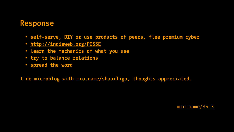#### **Response**

- **self-serve, DIY or use products of peers, flee premium cyber**
- **<http://indieweb.org/POSSE>**
- **learn the mechanics of what you use**
- **try to balance relations**
- **spread the word**
- **I do microblog with [mro.name/shaarligo,](http://mro.name/shaarligo) thoughts appreciated.**

 [mro. name/35c3](http://mro.name/35c3)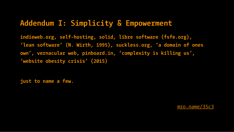# **Addendum I: Simplicity & Empowerment**

**indieweb.org, self-hosting, solid, libre software (fsfe.org), 'lean software' (N. Wirth, 1995), suckless.org, 'a domain of ones own', vernacular web, pinboard.in, 'complexity is killing us', 'website obesity crisis' (2015)**

**just to name a few.**

 [mro. name/35c3](http://mro.name/35c3)